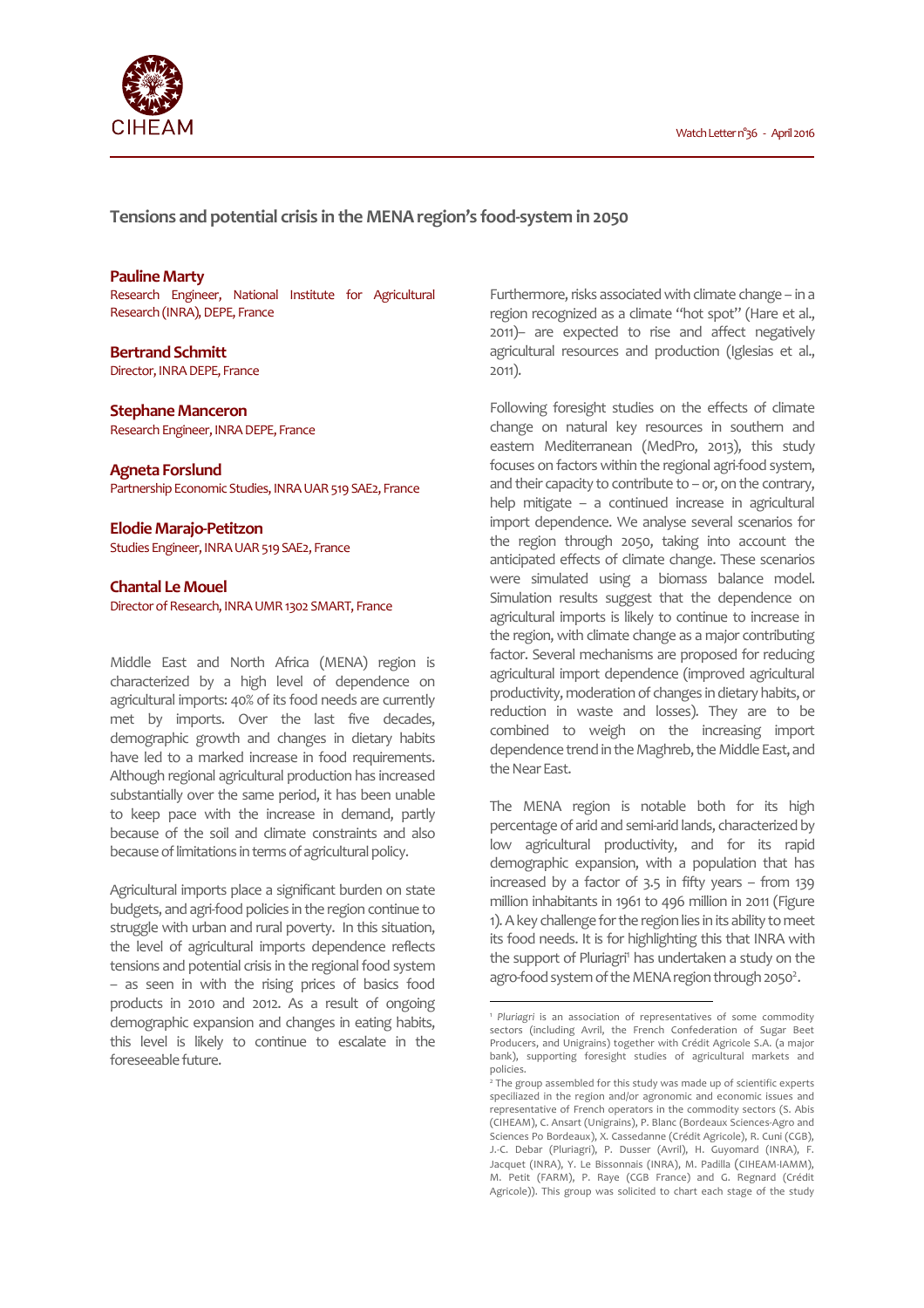

**Tensions and potential crisis in the MENA region's food-system in 2050** 

### **Pauline Marty**

Research Engineer, National Institute for Agricultural Research (INRA), DEPE, France

## **Bertrand Schmitt**

Director, INRA DEPE, France

### **Stephane Manceron**

Research Engineer, INRA DEPE, France

**Agneta Forslund**  Partnership Economic Studies, INRA UAR 519 SAE2, France

**Elodie Marajo-Petitzon**  Studies Engineer, INRA UAR 519 SAE2, France

**Chantal Le Mouel**  Director of Research, INRA UMR 1302 SMART, France

Middle East and North Africa (MENA) region is characterized by a high level of dependence on agricultural imports: 40% of its food needs are currently met by imports. Over the last five decades, demographic growth and changes in dietary habits have led to a marked increase in food requirements. Although regional agricultural production has increased substantially over the same period, it has been unable to keep pace with the increase in demand, partly because of the soil and climate constraints and also because of limitations in terms of agricultural policy.

Agricultural imports place a significant burden on state budgets, and agri-food policies in the region continue to struggle with urban and rural poverty. In this situation, the level of agricultural imports dependence reflects tensions and potential crisis in the regional food system – as seen in with the rising prices of basics food products in 2010 and 2012. As a result of ongoing demographic expansion and changes in eating habits, this level is likely to continue to escalate in the foreseeable future.

Furthermore, risks associated with climate change – in a region recognized as a climate "hot spot" (Hare et al., 2011)– are expected to rise and affect negatively agricultural resources and production (Iglesias et al., 2011).

Following foresight studies on the effects of climate change on natural key resources in southern and eastern Mediterranean (MedPro, 2013), this study focuses on factors within the regional agri-food system, and their capacity to contribute to – or, on the contrary, help mitigate – a continued increase in agricultural import dependence. We analyse several scenarios for the region through 2050, taking into account the anticipated effects of climate change. These scenarios were simulated using a biomass balance model. Simulation results suggest that the dependence on agricultural imports is likely to continue to increase in the region, with climate change as a major contributing factor. Several mechanisms are proposed for reducing agricultural import dependence (improved agricultural productivity, moderation of changes in dietary habits, or reduction in waste and losses). They are to be combined to weigh on the increasing import dependence trend in the Maghreb, the Middle East, and the Near East.

The MENA region is notable both for its high percentage of arid and semi-arid lands, characterized by low agricultural productivity, and for its rapid demographic expansion, with a population that has increased by a factor of 3.5 in fifty years – from 139 million inhabitants in 1961 to 496 million in 2011 (Figure 1). A key challenge for the region lies in its ability to meet its food needs. It is for highlighting this that INRA with the support of Pluriagri<sup>1</sup> has undertaken a study on the agro-food system of the MENA region through 2050<sup>2</sup>.

l

<sup>1</sup> *Pluriagri* is an association of representatives of some commodity sectors (including Avril, the French Confederation of Sugar Beet Producers, and Unigrains) together with Crédit Agricole S.A. (a major bank), supporting foresight studies of agricultural markets and policies.

<sup>2</sup> The group assembled for this study was made up of scientific experts speciliazed in the region and/or agronomic and economic issues and representative of French operators in the commodity sectors (S. Abis (CIHEAM), C. Ansart (Unigrains), P. Blanc (Bordeaux Sciences-Agro and Sciences Po Bordeaux), X. Cassedanne (Crédit Agricole), R. Cuni (CGB), J.-C. Debar (Pluriagri), P. Dusser (Avril), H. Guyomard (INRA), F. Jacquet (INRA), Y. Le Bissonnais (INRA), M. Padilla (CIHEAM-IAMM), M. Petit (FARM), P. Raye (CGB France) and G. Regnard (Crédit Agricole)). This group was solicited to chart each stage of the study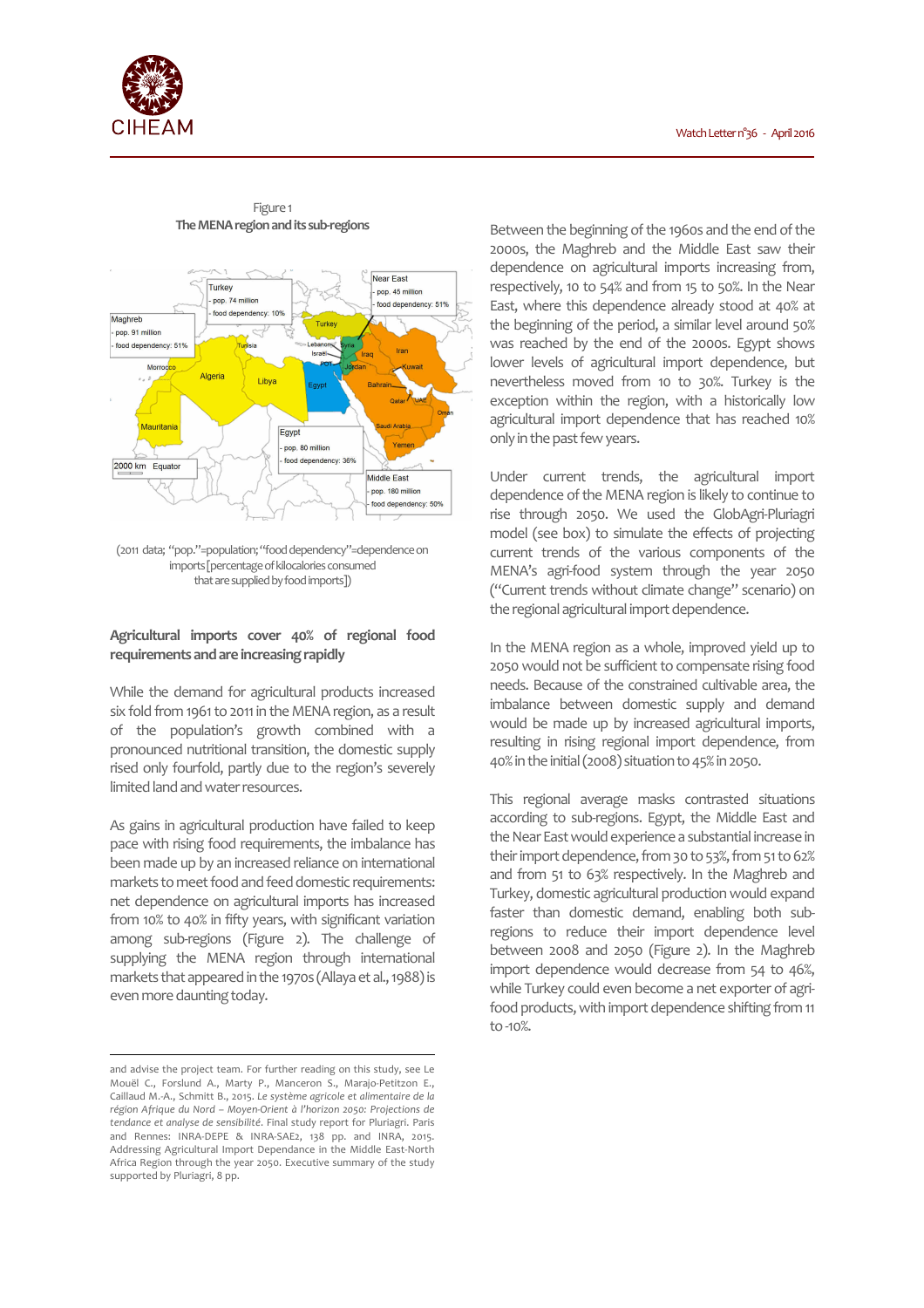



#### Figure 1 **The MENA region and its sub-regions**

(2011 data; "pop."=population; "food dependency"=dependence on imports [percentage of kilocalories consumed that are supplied by food imports])

# **Agricultural imports cover 40% of regional food requirements and are increasing rapidly**

While the demand for agricultural products increased six fold from 1961 to 2011 in the MENA region, as a result of the population's growth combined with a pronounced nutritional transition, the domestic supply rised only fourfold, partly due to the region's severely limited land and water resources.

As gains in agricultural production have failed to keep pace with rising food requirements, the imbalance has been made up by an increased reliance on international markets to meet food and feed domestic requirements: net dependence on agricultural imports has increased from 10% to 40% in fifty years, with significant variation among sub-regions (Figure 2). The challenge of supplying the MENA region through international markets that appeared in the 1970s (Allaya et al., 1988) is even more daunting today.

 $\overline{a}$ 

Between the beginning of the 1960s and the end of the 2000s, the Maghreb and the Middle East saw their dependence on agricultural imports increasing from, respectively, 10 to 54% and from 15 to 50%. In the Near East, where this dependence already stood at 40% at the beginning of the period, a similar level around 50% was reached by the end of the 2000s. Egypt shows lower levels of agricultural import dependence, but nevertheless moved from 10 to 30%. Turkey is the exception within the region, with a historically low agricultural import dependence that has reached 10% only in the past few years.

Under current trends, the agricultural import dependence of the MENA region is likely to continue to rise through 2050. We used the GlobAgri-Pluriagri model (see box) to simulate the effects of projecting current trends of the various components of the MENA's agri-food system through the year 2050 ("Current trends without climate change" scenario) on the regional agricultural import dependence.

In the MENA region as a whole, improved yield up to 2050 would not be sufficient to compensate rising food needs. Because of the constrained cultivable area, the imbalance between domestic supply and demand would be made up by increased agricultural imports, resulting in rising regional import dependence, from 40% in the initial (2008) situation to 45% in 2050.

This regional average masks contrasted situations according to sub-regions. Egypt, the Middle East and the Near East would experience a substantial increase in their import dependence, from 30 to 53%, from 51 to 62% and from 51 to 63% respectively. In the Maghreb and Turkey, domestic agricultural production would expand faster than domestic demand, enabling both subregions to reduce their import dependence level between 2008 and 2050 (Figure 2). In the Maghreb import dependence would decrease from 54 to 46%, while Turkey could even become a net exporter of agrifood products, with import dependence shifting from 11 to -10%.

and advise the project team. For further reading on this study, see Le Mouël C., Forslund A., Marty P., Manceron S., Marajo-Petitzon E., Caillaud M.-A., Schmitt B., 2015. *Le système agricole et alimentaire de la région Afrique du Nord – Moyen-Orient à l'horizon 2050: Projections de tendance et analyse de sensibilité*. Final study report for Pluriagri. Paris and Rennes: INRA-DEPE & INRA-SAE2, 138 pp. and INRA, 2015. Addressing Agricultural Import Dependance in the Middle East-North Africa Region through the year 2050. Executive summary of the study supported by Pluriagri, 8 pp.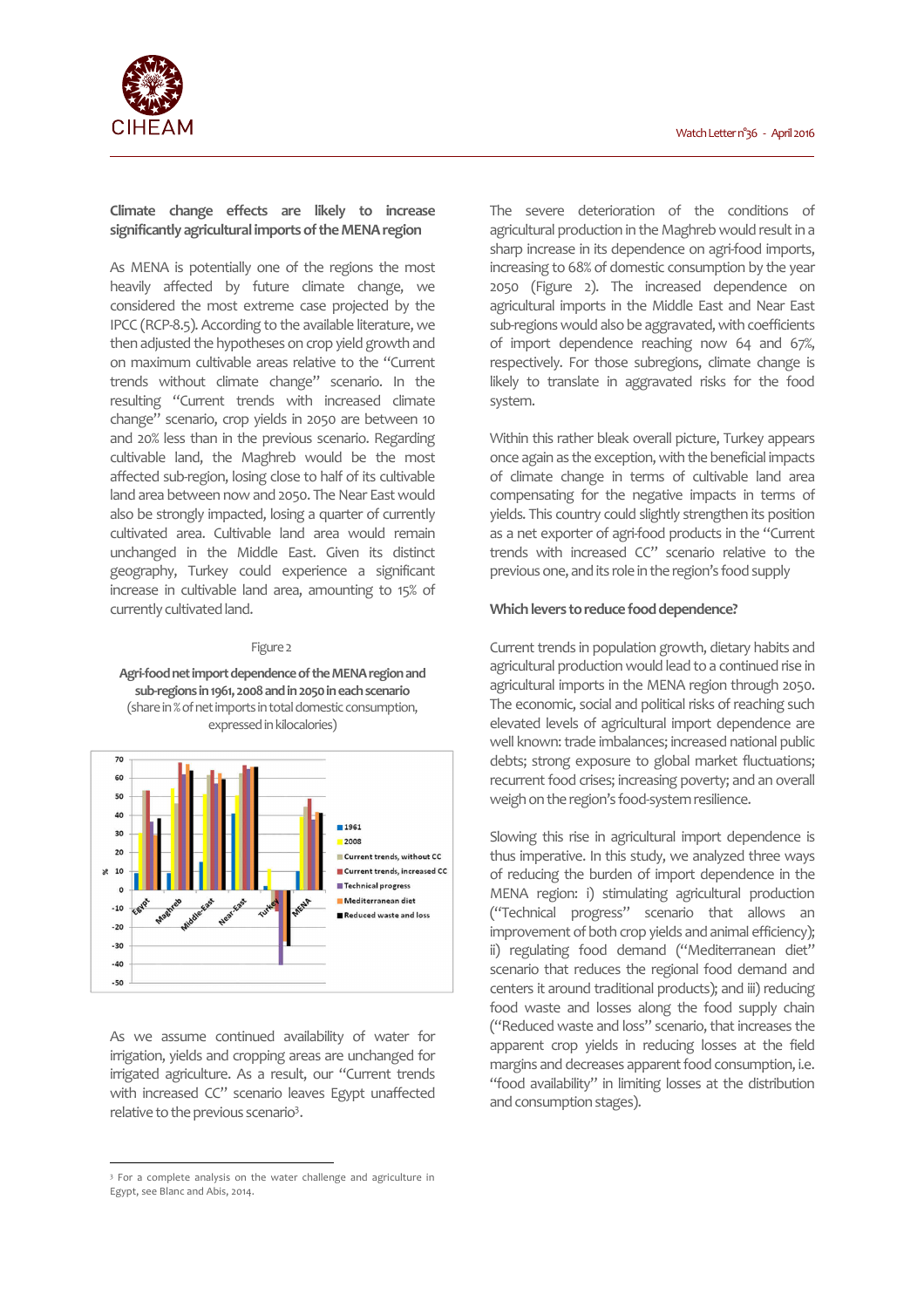

# **Climate change effects are likely to increase significantly agricultural imports of the MENA region**

As MENA is potentially one of the regions the most heavily affected by future climate change, we considered the most extreme case projected by the IPCC (RCP-8.5). According to the available literature, we then adjusted the hypotheses on crop yield growth and on maximum cultivable areas relative to the "Current trends without climate change" scenario. In the resulting "Current trends with increased climate change" scenario, crop yields in 2050 are between 10 and 20% less than in the previous scenario. Regarding cultivable land, the Maghreb would be the most affected sub-region, losing close to half of its cultivable land area between now and 2050. The Near East would also be strongly impacted, losing a quarter of currently cultivated area. Cultivable land area would remain unchanged in the Middle East. Given its distinct geography, Turkey could experience a significant increase in cultivable land area, amounting to 15% of currently cultivated land.

#### Figure 2

**Agri-food net import dependence of the MENA region and sub-regions in 1961, 2008 and in 2050 in each scenario**  (share in % of net imports in total domestic consumption, expressed in kilocalories)



As we assume continued availability of water for irrigation, yields and cropping areas are unchanged for irrigated agriculture. As a result, our "Current trends with increased CC" scenario leaves Egypt unaffected relative to the previous scenario<sup>3</sup>.

 $\overline{a}$ 

The severe deterioration of the conditions of agricultural production in the Maghreb would result in a sharp increase in its dependence on agri-food imports, increasing to 68% of domestic consumption by the year 2050 (Figure 2). The increased dependence on agricultural imports in the Middle East and Near East sub-regions would also be aggravated, with coefficients of import dependence reaching now 64 and 67%, respectively. For those subregions, climate change is likely to translate in aggravated risks for the food system.

Within this rather bleak overall picture, Turkey appears once again as the exception, with the beneficial impacts of climate change in terms of cultivable land area compensating for the negative impacts in terms of yields. This country could slightly strengthen its position as a net exporter of agri-food products in the "Current trends with increased CC" scenario relative to the previous one, and its role in the region's food supply

### **Which levers to reduce food dependence?**

Current trends in population growth, dietary habits and agricultural production would lead to a continued rise in agricultural imports in the MENA region through 2050. The economic, social and political risks of reaching such elevated levels of agricultural import dependence are well known: trade imbalances; increased national public debts; strong exposure to global market fluctuations; recurrent food crises; increasing poverty; and an overall weigh on the region's food-system resilience.

Slowing this rise in agricultural import dependence is thus imperative. In this study, we analyzed three ways of reducing the burden of import dependence in the MENA region: i) stimulating agricultural production ("Technical progress" scenario that allows an improvement of both crop yields and animal efficiency); ii) regulating food demand ("Mediterranean diet" scenario that reduces the regional food demand and centers it around traditional products); and iii) reducing food waste and losses along the food supply chain ("Reduced waste and loss" scenario, that increases the apparent crop yields in reducing losses at the field margins and decreases apparent food consumption, i.e. "food availability" in limiting losses at the distribution and consumption stages).

<sup>&</sup>lt;sup>3</sup> For a complete analysis on the water challenge and agriculture in Egypt, see Blanc and Abis, 2014.